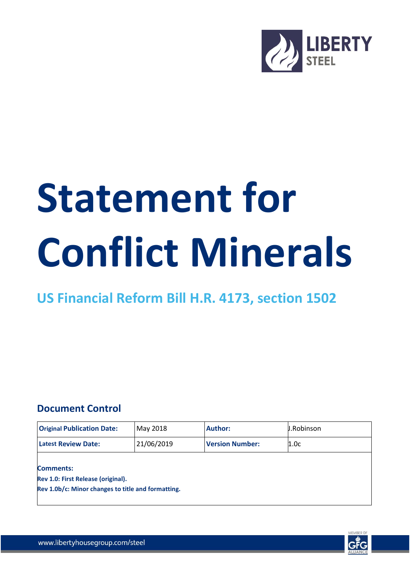

## **Statement for Conflict Minerals**

## **US Financial Reform Bill H.R. 4173, section 1502**

## **Document Control**

| <b>Original Publication Date:</b>                      | May 2018   | <b>Author:</b>         | J.Robinson |  |
|--------------------------------------------------------|------------|------------------------|------------|--|
| <b>Latest Review Date:</b>                             | 21/06/2019 | <b>Version Number:</b> | 1.0c       |  |
| <b>Comments:</b><br>Rev 1.0: First Release (original). |            |                        |            |  |
| Rev 1.0b/c: Minor changes to title and formatting.     |            |                        |            |  |